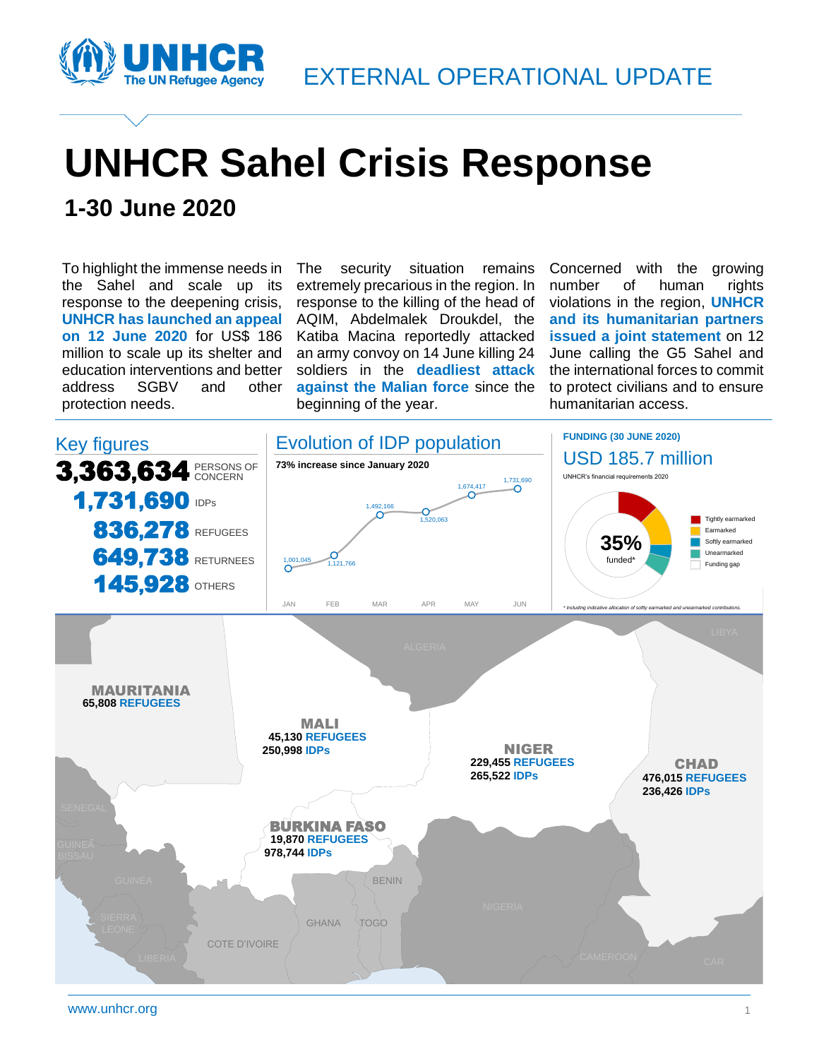

# **UNHCR Sahel Crisis Response**

### **1-30 June 2020**

To highlight the immense needs in the Sahel and scale up its response to the deepening crisis, **UNHCR has launched an appeal on 12 June 2020** for US\$ 186 million to scale up its shelter and education interventions and better address SGBV and other protection needs.

The security situation remains extremely precarious in the region. In response to the killing of the head of AQIM, Abdelmalek Droukdel, the Katiba Macina reportedly attacked an army convoy on 14 June killing 24 soldiers in the **deadliest attack against the Malian force** since the beginning of the year.

Concerned with the growing number of human rights violations in the region, **UNHCR and its humanitarian partners issued a joint statement** on 12 June calling the G5 Sahel and the international forces to commit to protect civilians and to ensure humanitarian access.

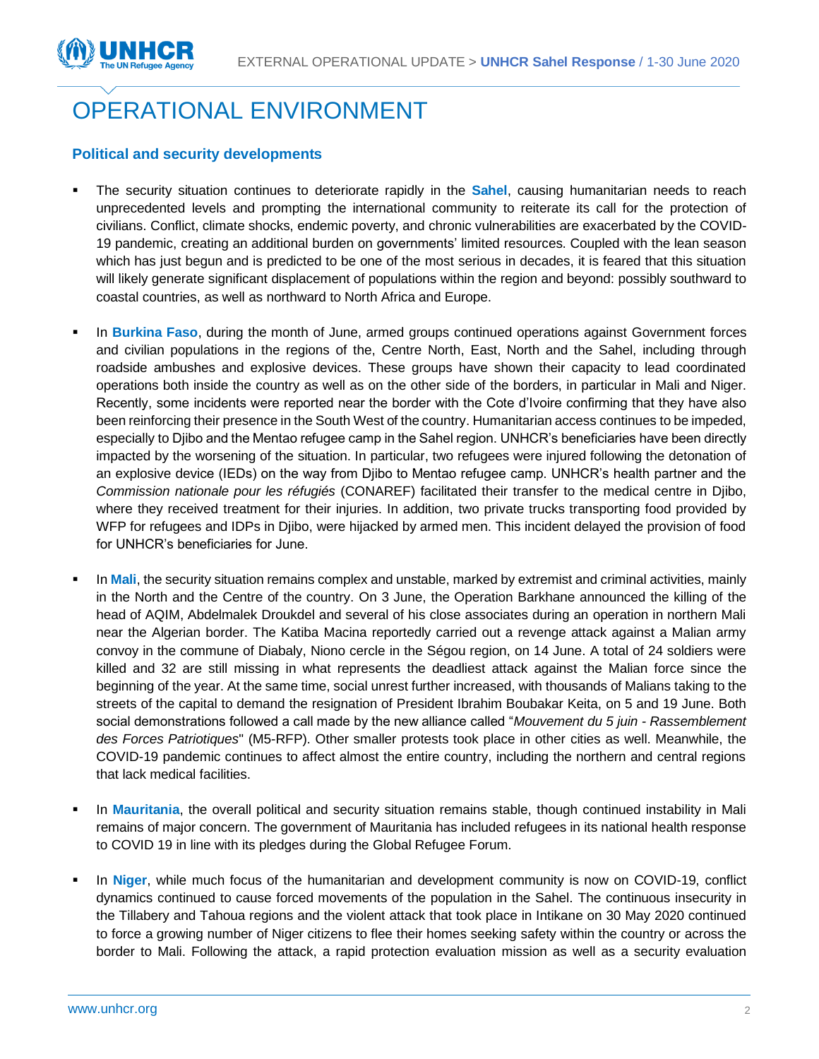

## OPERATIONAL ENVIRONMENT

#### **Political and security developments**

- The security situation continues to deteriorate rapidly in the **Sahel**, causing humanitarian needs to reach unprecedented levels and prompting the international community to reiterate its call for the protection of civilians. Conflict, climate shocks, endemic poverty, and chronic vulnerabilities are exacerbated by the COVID-19 pandemic, creating an additional burden on governments' limited resources. Coupled with the lean season which has just begun and is predicted to be one of the most serious in decades, it is feared that this situation will likely generate significant displacement of populations within the region and beyond: possibly southward to coastal countries, as well as northward to North Africa and Europe.
- In **Burkina Faso**, during the month of June, armed groups continued operations against Government forces and civilian populations in the regions of the, Centre North, East, North and the Sahel, including through roadside ambushes and explosive devices. These groups have shown their capacity to lead coordinated operations both inside the country as well as on the other side of the borders, in particular in Mali and Niger. Recently, some incidents were reported near the border with the Cote d'Ivoire confirming that they have also been reinforcing their presence in the South West of the country. Humanitarian access continues to be impeded, especially to Djibo and the Mentao refugee camp in the Sahel region. UNHCR's beneficiaries have been directly impacted by the worsening of the situation. In particular, two refugees were injured following the detonation of an explosive device (IEDs) on the way from Djibo to Mentao refugee camp. UNHCR's health partner and the *Commission nationale pour les réfugiés* (CONAREF) facilitated their transfer to the medical centre in Djibo, where they received treatment for their injuries. In addition, two private trucks transporting food provided by WFP for refugees and IDPs in Djibo, were hijacked by armed men. This incident delayed the provision of food for UNHCR's beneficiaries for June.
- In Mali, the security situation remains complex and unstable, marked by extremist and criminal activities, mainly in the North and the Centre of the country. On 3 June, the Operation Barkhane announced the killing of the head of AQIM, Abdelmalek Droukdel and several of his close associates during an operation in northern Mali near the Algerian border. The Katiba Macina reportedly carried out a revenge attack against a Malian army convoy in the commune of Diabaly, Niono cercle in the Ségou region, on 14 June. A total of 24 soldiers were killed and 32 are still missing in what represents the deadliest attack against the Malian force since the beginning of the year. At the same time, social unrest further increased, with thousands of Malians taking to the streets of the capital to demand the resignation of President Ibrahim Boubakar Keita, on 5 and 19 June. Both social demonstrations followed a call made by the new alliance called "*Mouvement du 5 juin - Rassemblement des Forces Patriotiques*" (M5-RFP). Other smaller protests took place in other cities as well. Meanwhile, the COVID-19 pandemic continues to affect almost the entire country, including the northern and central regions that lack medical facilities.
- In Mauritania, the overall political and security situation remains stable, though continued instability in Mali remains of major concern. The government of Mauritania has included refugees in its national health response to COVID 19 in line with its pledges during the Global Refugee Forum.
- In Niger, while much focus of the humanitarian and development community is now on COVID-19, conflict dynamics continued to cause forced movements of the population in the Sahel. The continuous insecurity in the Tillabery and Tahoua regions and the violent attack that took place in Intikane on 30 May 2020 continued to force a growing number of Niger citizens to flee their homes seeking safety within the country or across the border to Mali. Following the attack, a rapid protection evaluation mission as well as a security evaluation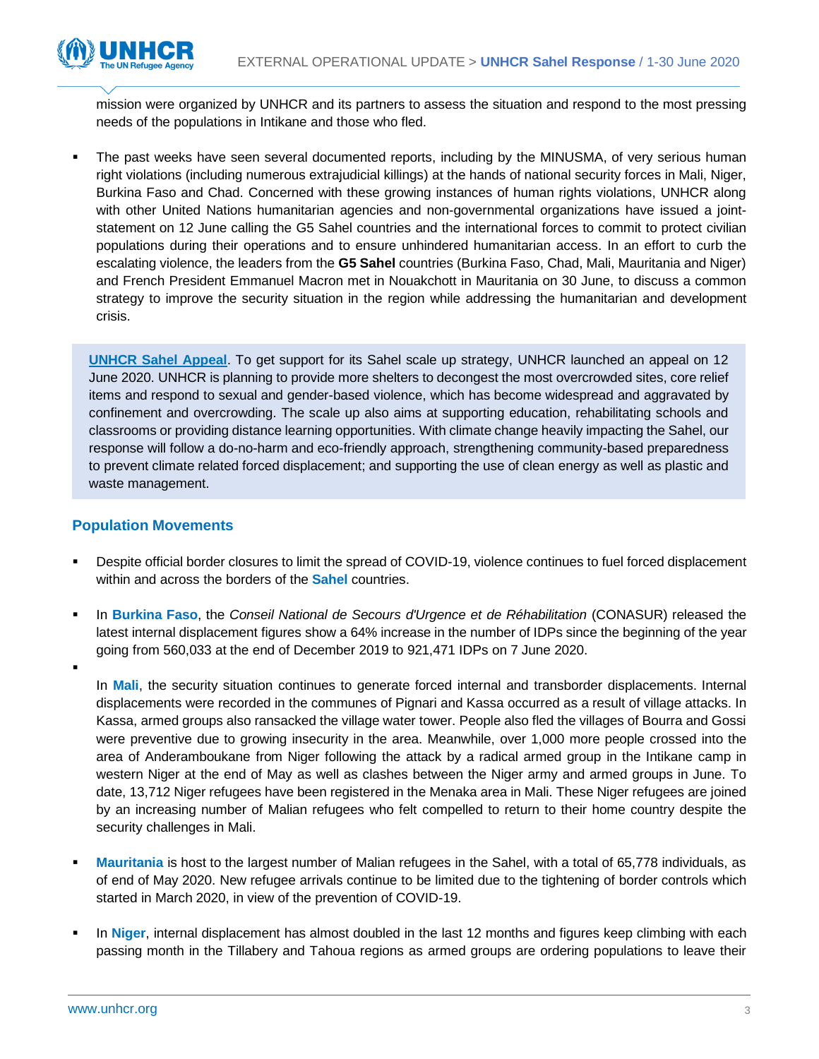

mission were organized by UNHCR and its partners to assess the situation and respond to the most pressing needs of the populations in Intikane and those who fled.

The past weeks have seen several documented reports, including by the MINUSMA, of very serious human right violations (including numerous extrajudicial killings) at the hands of national security forces in Mali, Niger, Burkina Faso and Chad. Concerned with these growing instances of human rights violations, UNHCR along with other United Nations humanitarian agencies and non-governmental organizations have issued a jointstatement on 12 June calling the G5 Sahel countries and the international forces to commit to protect civilian populations during their operations and to ensure unhindered humanitarian access. In an effort to curb the escalating violence, the leaders from the **G5 Sahel** countries (Burkina Faso, Chad, Mali, Mauritania and Niger) and French President Emmanuel Macron met in Nouakchott in Mauritania on 30 June, to discuss a common strategy to improve the security situation in the region while addressing the humanitarian and development crisis.

**[UNHCR Sahel Appeal](https://data2.unhcr.org/en/documents/details/77069)**. To get support for its Sahel scale up strategy, UNHCR launched an appeal on 12 June 2020. UNHCR is planning to provide more shelters to decongest the most overcrowded sites, core relief items and respond to sexual and gender-based violence, which has become widespread and aggravated by confinement and overcrowding. The scale up also aims at supporting education, rehabilitating schools and classrooms or providing distance learning opportunities. With climate change heavily impacting the Sahel, our response will follow a do-no-harm and eco-friendly approach, strengthening community-based preparedness to prevent climate related forced displacement; and supporting the use of clean energy as well as plastic and waste management.

#### **Population Movements**

▪

- Despite official border closures to limit the spread of COVID-19, violence continues to fuel forced displacement within and across the borders of the **Sahel** countries.
- In **Burkina Faso**, the Conseil National de Secours d'Urgence et de Réhabilitation (CONASUR) released the latest internal displacement figures show a 64% increase in the number of IDPs since the beginning of the year going from 560,033 at the end of December 2019 to 921,471 IDPs on 7 June 2020.

In **Mali**, the security situation continues to generate forced internal and transborder displacements. Internal displacements were recorded in the communes of Pignari and Kassa occurred as a result of village attacks. In Kassa, armed groups also ransacked the village water tower. People also fled the villages of Bourra and Gossi were preventive due to growing insecurity in the area. Meanwhile, over 1,000 more people crossed into the area of Anderamboukane from Niger following the attack by a radical armed group in the Intikane camp in western Niger at the end of May as well as clashes between the Niger army and armed groups in June. To date, 13,712 Niger refugees have been registered in the Menaka area in Mali. These Niger refugees are joined by an increasing number of Malian refugees who felt compelled to return to their home country despite the security challenges in Mali.

- **Mauritania** is host to the largest number of Malian refugees in the Sahel, with a total of 65,778 individuals, as of end of May 2020. New refugee arrivals continue to be limited due to the tightening of border controls which started in March 2020, in view of the prevention of COVID-19.
- In Niger, internal displacement has almost doubled in the last 12 months and figures keep climbing with each passing month in the Tillabery and Tahoua regions as armed groups are ordering populations to leave their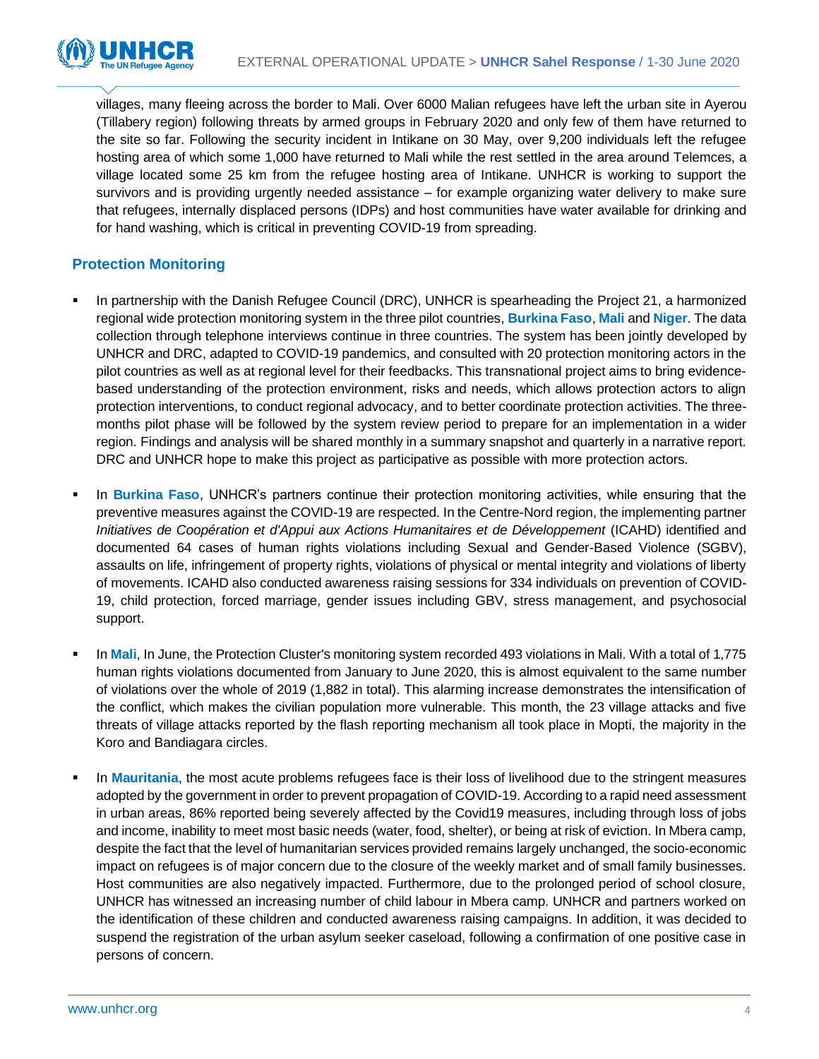villages, many fleeing across the border to Mali. Over 6000 Malian refugees have left the urban site in Ayerou (Tillabery region) following threats by armed groups in February 2020 and only few of them have returned to the site so far. Following the security incident in Intikane on 30 May, over 9,200 individuals left the refugee hosting area of which some 1,000 have returned to Mali while the rest settled in the area around Telemces, a village located some 25 km from the refugee hosting area of Intikane. UNHCR is working to support the survivors and is providing urgently needed assistance – for example organizing water delivery to make sure that refugees, internally displaced persons (IDPs) and host communities have water available for drinking and for hand washing, which is critical in preventing COVID-19 from spreading.

#### **Protection Monitoring**

- In partnership with the Danish Refugee Council (DRC), UNHCR is spearheading the Project 21, a harmonized regional wide protection monitoring system in the three pilot countries, **Burkina Faso**, **Mali** and **Niger**. The data collection through telephone interviews continue in three countries. The system has been jointly developed by UNHCR and DRC, adapted to COVID-19 pandemics, and consulted with 20 protection monitoring actors in the pilot countries as well as at regional level for their feedbacks. This transnational project aims to bring evidencebased understanding of the protection environment, risks and needs, which allows protection actors to align protection interventions, to conduct regional advocacy, and to better coordinate protection activities. The threemonths pilot phase will be followed by the system review period to prepare for an implementation in a wider region. Findings and analysis will be shared monthly in a summary snapshot and quarterly in a narrative report. DRC and UNHCR hope to make this project as participative as possible with more protection actors.
- In **Burkina Faso**, UNHCR's partners continue their protection monitoring activities, while ensuring that the preventive measures against the COVID-19 are respected. In the Centre-Nord region, the implementing partner *Initiatives de Coopération et d'Appui aux Actions Humanitaires et de Développement* (ICAHD) identified and documented 64 cases of human rights violations including Sexual and Gender-Based Violence (SGBV), assaults on life, infringement of property rights, violations of physical or mental integrity and violations of liberty of movements. ICAHD also conducted awareness raising sessions for 334 individuals on prevention of COVID-19, child protection, forced marriage, gender issues including GBV, stress management, and psychosocial support.
- In Mali, In June, the Protection Cluster's monitoring system recorded 493 violations in Mali. With a total of 1,775 human rights violations documented from January to June 2020, this is almost equivalent to the same number of violations over the whole of 2019 (1,882 in total). This alarming increase demonstrates the intensification of the conflict, which makes the civilian population more vulnerable. This month, the 23 village attacks and five threats of village attacks reported by the flash reporting mechanism all took place in Mopti, the majority in the Koro and Bandiagara circles.
- In **Mauritania**, the most acute problems refugees face is their loss of livelihood due to the stringent measures adopted by the government in order to prevent propagation of COVID-19. According to a rapid need assessment in urban areas, 86% reported being severely affected by the Covid19 measures, including through loss of jobs and income, inability to meet most basic needs (water, food, shelter), or being at risk of eviction. In Mbera camp, despite the fact that the level of humanitarian services provided remains largely unchanged, the socio-economic impact on refugees is of major concern due to the closure of the weekly market and of small family businesses. Host communities are also negatively impacted. Furthermore, due to the prolonged period of school closure, UNHCR has witnessed an increasing number of child labour in Mbera camp. UNHCR and partners worked on the identification of these children and conducted awareness raising campaigns. In addition, it was decided to suspend the registration of the urban asylum seeker caseload, following a confirmation of one positive case in persons of concern.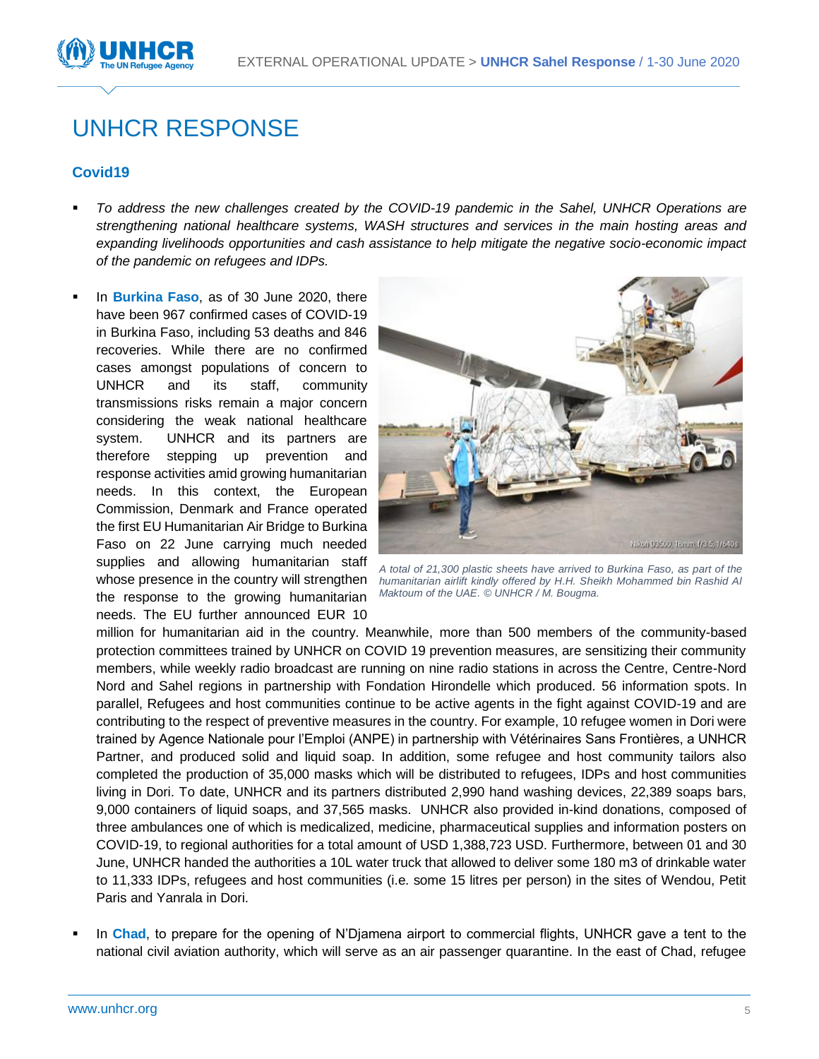

### UNHCR RESPONSE

#### **Covid19**

- *To address the new challenges created by the COVID-19 pandemic in the Sahel, UNHCR Operations are strengthening national healthcare systems, WASH structures and services in the main hosting areas and expanding livelihoods opportunities and cash assistance to help mitigate the negative socio-economic impact of the pandemic on refugees and IDPs.*
- In **Burkina Faso**, as of 30 June 2020, there have been 967 confirmed cases of COVID-19 in Burkina Faso, including 53 deaths and 846 recoveries. While there are no confirmed cases amongst populations of concern to UNHCR and its staff, community transmissions risks remain a major concern considering the weak national healthcare system. UNHCR and its partners are therefore stepping up prevention and response activities amid growing humanitarian needs. In this context, the European Commission, Denmark and France operated the first EU Humanitarian Air Bridge to Burkina Faso on 22 June carrying much needed supplies and allowing humanitarian staff whose presence in the country will strengthen the response to the growing humanitarian needs. The EU further announced EUR 10



*A total of 21,300 plastic sheets have arrived to Burkina Faso, as part of the humanitarian airlift kindly offered by H.H. Sheikh Mohammed bin Rashid Al Maktoum of the UAE. © UNHCR / M. Bougma.*

million for humanitarian aid in the country. Meanwhile, more than 500 members of the community-based protection committees trained by UNHCR on COVID 19 prevention measures, are sensitizing their community members, while weekly radio broadcast are running on nine radio stations in across the Centre, Centre-Nord Nord and Sahel regions in partnership with Fondation Hirondelle which produced. 56 information spots. In parallel, Refugees and host communities continue to be active agents in the fight against COVID-19 and are contributing to the respect of preventive measures in the country. For example, 10 refugee women in Dori were trained by Agence Nationale pour l'Emploi (ANPE) in partnership with Vétérinaires Sans Frontières, a UNHCR Partner, and produced solid and liquid soap. In addition, some refugee and host community tailors also completed the production of 35,000 masks which will be distributed to refugees, IDPs and host communities living in Dori. To date, UNHCR and its partners distributed 2,990 hand washing devices, 22,389 soaps bars, 9,000 containers of liquid soaps, and 37,565 masks. UNHCR also provided in-kind donations, composed of three ambulances one of which is medicalized, medicine, pharmaceutical supplies and information posters on COVID-19, to regional authorities for a total amount of USD 1,388,723 USD. Furthermore, between 01 and 30 June, UNHCR handed the authorities a 10L water truck that allowed to deliver some 180 m3 of drinkable water to 11,333 IDPs, refugees and host communities (i.e. some 15 litres per person) in the sites of Wendou, Petit Paris and Yanrala in Dori.

In Chad, to prepare for the opening of N'Djamena airport to commercial flights, UNHCR gave a tent to the national civil aviation authority, which will serve as an air passenger quarantine. In the east of Chad, refugee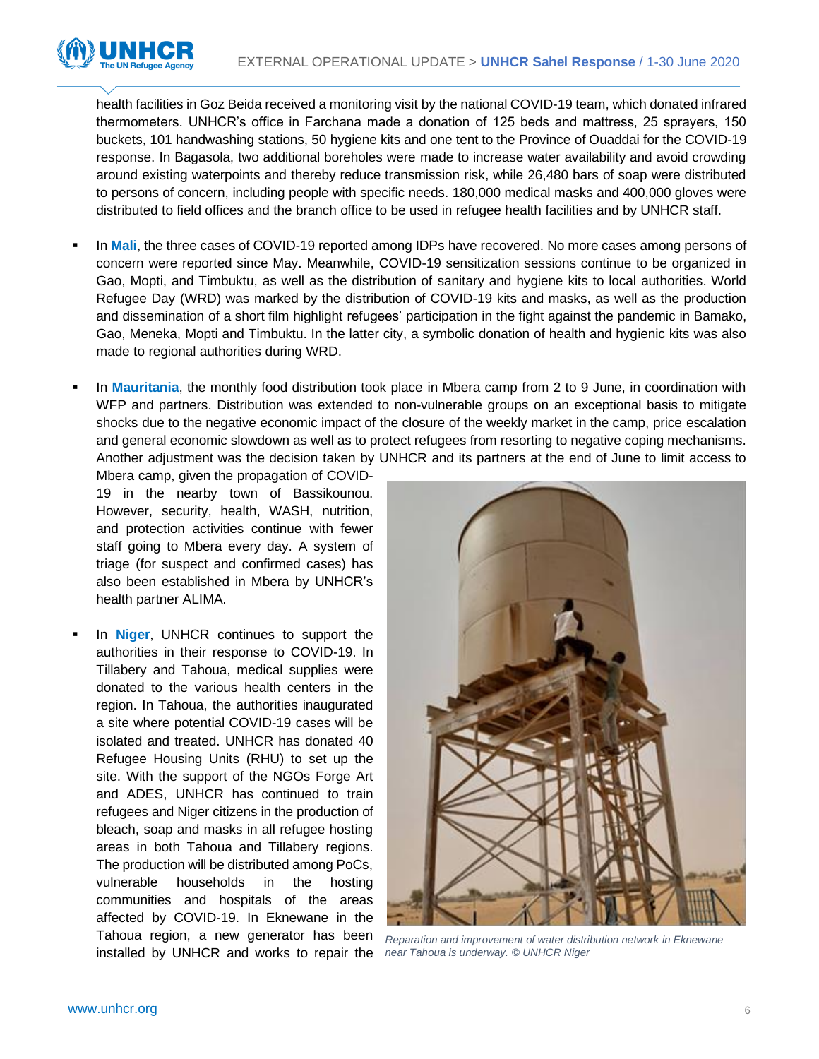

health facilities in Goz Beida received a monitoring visit by the national COVID-19 team, which donated infrared thermometers. UNHCR's office in Farchana made a donation of 125 beds and mattress, 25 sprayers, 150 buckets, 101 handwashing stations, 50 hygiene kits and one tent to the Province of Ouaddai for the COVID-19 response. In Bagasola, two additional boreholes were made to increase water availability and avoid crowding around existing waterpoints and thereby reduce transmission risk, while 26,480 bars of soap were distributed to persons of concern, including people with specific needs. 180,000 medical masks and 400,000 gloves were distributed to field offices and the branch office to be used in refugee health facilities and by UNHCR staff.

- In **Mali**, the three cases of COVID-19 reported among IDPs have recovered. No more cases among persons of concern were reported since May. Meanwhile, COVID-19 sensitization sessions continue to be organized in Gao, Mopti, and Timbuktu, as well as the distribution of sanitary and hygiene kits to local authorities. World Refugee Day (WRD) was marked by the distribution of COVID-19 kits and masks, as well as the production and dissemination of a short film highlight refugees' participation in the fight against the pandemic in Bamako, Gao, Meneka, Mopti and Timbuktu. In the latter city, a symbolic donation of health and hygienic kits was also made to regional authorities during WRD.
- In **Mauritania**, the monthly food distribution took place in Mbera camp from 2 to 9 June, in coordination with WFP and partners. Distribution was extended to non-vulnerable groups on an exceptional basis to mitigate shocks due to the negative economic impact of the closure of the weekly market in the camp, price escalation and general economic slowdown as well as to protect refugees from resorting to negative coping mechanisms. Another adjustment was the decision taken by UNHCR and its partners at the end of June to limit access to

Mbera camp, given the propagation of COVID-19 in the nearby town of Bassikounou. However, security, health, WASH, nutrition, and protection activities continue with fewer staff going to Mbera every day. A system of triage (for suspect and confirmed cases) has also been established in Mbera by UNHCR's health partner ALIMA.

In **Niger**, UNHCR continues to support the authorities in their response to COVID-19. In Tillabery and Tahoua, medical supplies were donated to the various health centers in the region. In Tahoua, the authorities inaugurated a site where potential COVID-19 cases will be isolated and treated. UNHCR has donated 40 Refugee Housing Units (RHU) to set up the site. With the support of the NGOs Forge Art and ADES, UNHCR has continued to train refugees and Niger citizens in the production of bleach, soap and masks in all refugee hosting areas in both Tahoua and Tillabery regions. The production will be distributed among PoCs, vulnerable households in the hosting communities and hospitals of the areas affected by COVID-19. In Eknewane in the Tahoua region, a new generator has been installed by UNHCR and works to repair the



*Reparation and improvement of water distribution network in Eknewane near Tahoua is underway. © UNHCR Niger*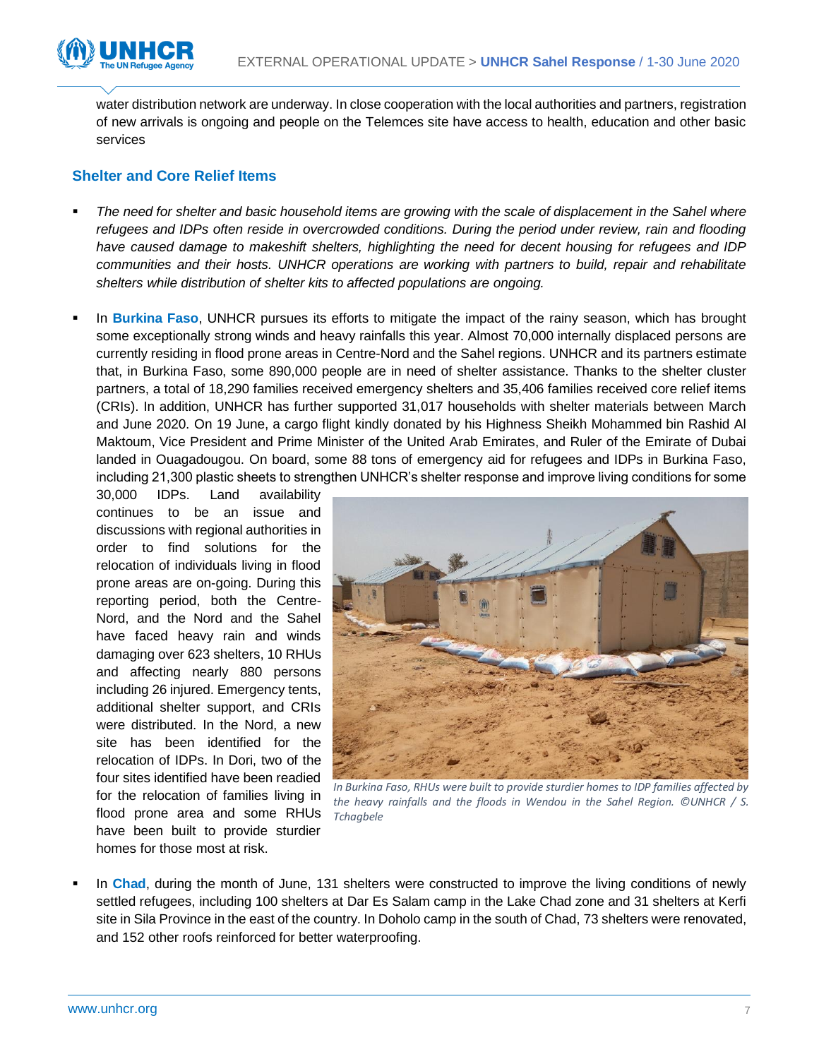

water distribution network are underway. In close cooperation with the local authorities and partners, registration of new arrivals is ongoing and people on the Telemces site have access to health, education and other basic services

#### **Shelter and Core Relief Items**

- *The need for shelter and basic household items are growing with the scale of displacement in the Sahel where refugees and IDPs often reside in overcrowded conditions. During the period under review, rain and flooding have caused damage to makeshift shelters, highlighting the need for decent housing for refugees and IDP communities and their hosts. UNHCR operations are working with partners to build, repair and rehabilitate shelters while distribution of shelter kits to affected populations are ongoing.*
- In **Burkina Faso**, UNHCR pursues its efforts to mitigate the impact of the rainy season, which has brought some exceptionally strong winds and heavy rainfalls this year. Almost 70,000 internally displaced persons are currently residing in flood prone areas in Centre-Nord and the Sahel regions. UNHCR and its partners estimate that, in Burkina Faso, some 890,000 people are in need of shelter assistance. Thanks to the shelter cluster partners, a total of 18,290 families received emergency shelters and 35,406 families received core relief items (CRIs). In addition, UNHCR has further supported 31,017 households with shelter materials between March and June 2020. On 19 June, a cargo flight kindly donated by his Highness Sheikh Mohammed bin Rashid Al Maktoum, Vice President and Prime Minister of the United Arab Emirates, and Ruler of the Emirate of Dubai landed in Ouagadougou. On board, some 88 tons of emergency aid for refugees and IDPs in Burkina Faso, including 21,300 plastic sheets to strengthen UNHCR's shelter response and improve living conditions for some

30,000 IDPs. Land availability continues to be an issue and discussions with regional authorities in order to find solutions for the relocation of individuals living in flood prone areas are on-going. During this reporting period, both the Centre-Nord, and the Nord and the Sahel have faced heavy rain and winds damaging over 623 shelters, 10 RHUs and affecting nearly 880 persons including 26 injured. Emergency tents, additional shelter support, and CRIs were distributed. In the Nord, a new site has been identified for the relocation of IDPs. In Dori, two of the four sites identified have been readied for the relocation of families living in flood prone area and some RHUs have been built to provide sturdier homes for those most at risk.



*In Burkina Faso, RHUs were built to provide sturdier homes to IDP families affected by the heavy rainfalls and the floods in Wendou in the Sahel Region. ©UNHCR / S. Tchagbele*

In **Chad**, during the month of June, 131 shelters were constructed to improve the living conditions of newly settled refugees, including 100 shelters at Dar Es Salam camp in the Lake Chad zone and 31 shelters at Kerfi site in Sila Province in the east of the country. In Doholo camp in the south of Chad, 73 shelters were renovated, and 152 other roofs reinforced for better waterproofing.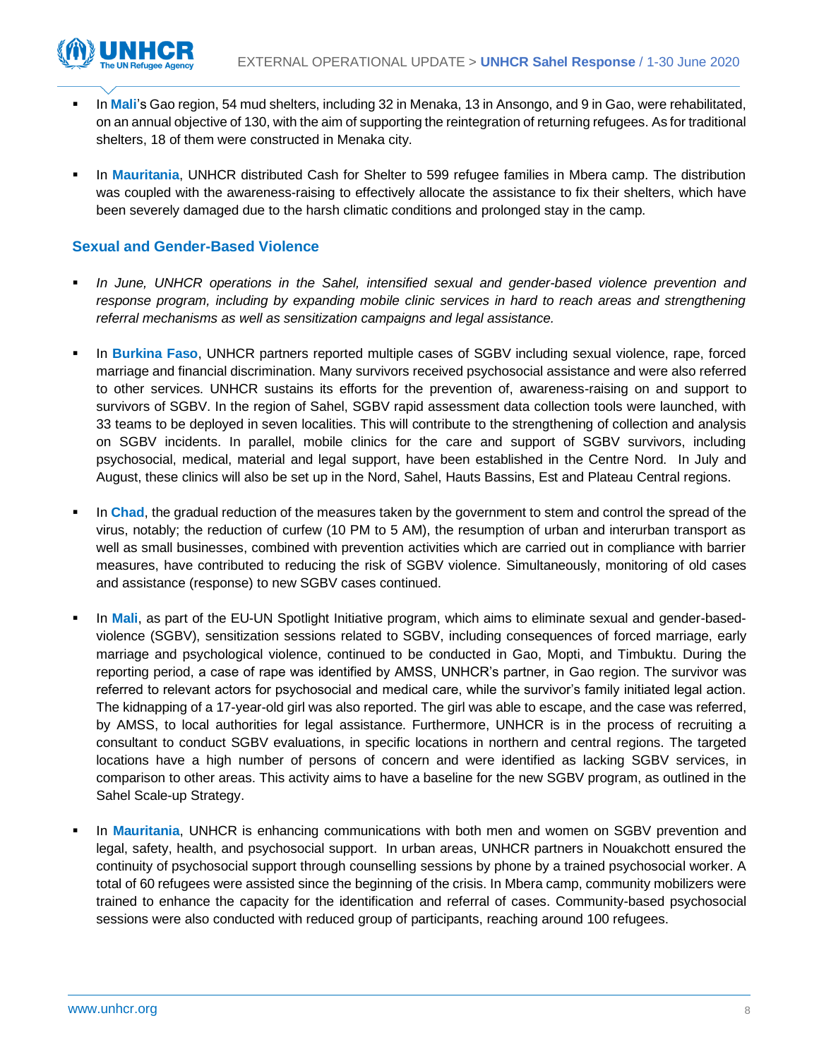

- In Mali's Gao region, 54 mud shelters, including 32 in Menaka, 13 in Ansongo, and 9 in Gao, were rehabilitated, on an annual objective of 130, with the aim of supporting the reintegration of returning refugees. As for traditional shelters, 18 of them were constructed in Menaka city.
- In Mauritania, UNHCR distributed Cash for Shelter to 599 refugee families in Mbera camp. The distribution was coupled with the awareness-raising to effectively allocate the assistance to fix their shelters, which have been severely damaged due to the harsh climatic conditions and prolonged stay in the camp.

#### **Sexual and Gender-Based Violence**

- In June, UNHCR operations in the Sahel, intensified sexual and gender-based violence prevention and *response program, including by expanding mobile clinic services in hard to reach areas and strengthening referral mechanisms as well as sensitization campaigns and legal assistance.*
- In **Burkina Faso**, UNHCR partners reported multiple cases of SGBV including sexual violence, rape, forced marriage and financial discrimination. Many survivors received psychosocial assistance and were also referred to other services. UNHCR sustains its efforts for the prevention of, awareness-raising on and support to survivors of SGBV. In the region of Sahel, SGBV rapid assessment data collection tools were launched, with 33 teams to be deployed in seven localities. This will contribute to the strengthening of collection and analysis on SGBV incidents. In parallel, mobile clinics for the care and support of SGBV survivors, including psychosocial, medical, material and legal support, have been established in the Centre Nord. In July and August, these clinics will also be set up in the Nord, Sahel, Hauts Bassins, Est and Plateau Central regions.
- In **Chad**, the gradual reduction of the measures taken by the government to stem and control the spread of the virus, notably; the reduction of curfew (10 PM to 5 AM), the resumption of urban and interurban transport as well as small businesses, combined with prevention activities which are carried out in compliance with barrier measures, have contributed to reducing the risk of SGBV violence. Simultaneously, monitoring of old cases and assistance (response) to new SGBV cases continued.
- In Mali, as part of the EU-UN Spotlight Initiative program, which aims to eliminate sexual and gender-basedviolence (SGBV), sensitization sessions related to SGBV, including consequences of forced marriage, early marriage and psychological violence, continued to be conducted in Gao, Mopti, and Timbuktu. During the reporting period, a case of rape was identified by AMSS, UNHCR's partner, in Gao region. The survivor was referred to relevant actors for psychosocial and medical care, while the survivor's family initiated legal action. The kidnapping of a 17-year-old girl was also reported. The girl was able to escape, and the case was referred, by AMSS, to local authorities for legal assistance. Furthermore, UNHCR is in the process of recruiting a consultant to conduct SGBV evaluations, in specific locations in northern and central regions. The targeted locations have a high number of persons of concern and were identified as lacking SGBV services, in comparison to other areas. This activity aims to have a baseline for the new SGBV program, as outlined in the Sahel Scale-up Strategy.
- In Mauritania, UNHCR is enhancing communications with both men and women on SGBV prevention and legal, safety, health, and psychosocial support. In urban areas, UNHCR partners in Nouakchott ensured the continuity of psychosocial support through counselling sessions by phone by a trained psychosocial worker. A total of 60 refugees were assisted since the beginning of the crisis. In Mbera camp, community mobilizers were trained to enhance the capacity for the identification and referral of cases. Community-based psychosocial sessions were also conducted with reduced group of participants, reaching around 100 refugees.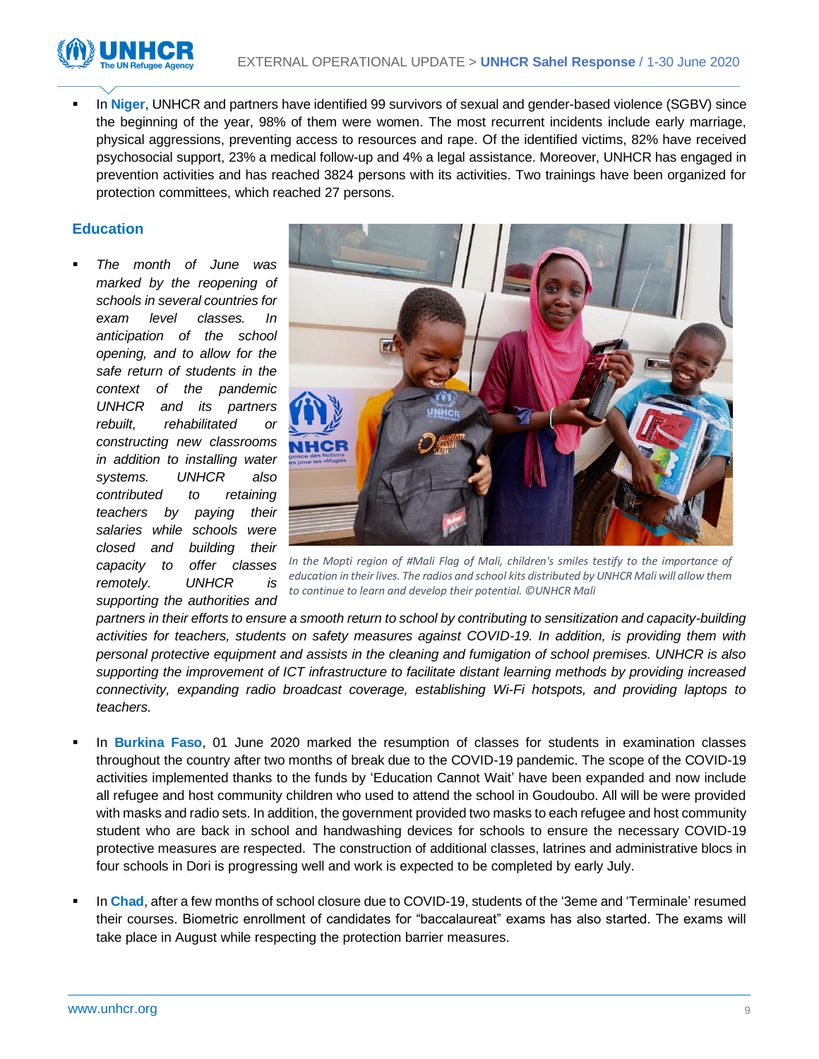

In Niger, UNHCR and partners have identified 99 survivors of sexual and gender-based violence (SGBV) since the beginning of the year, 98% of them were women. The most recurrent incidents include early marriage, physical aggressions, preventing access to resources and rape. Of the identified victims, 82% have received psychosocial support, 23% a medical follow-up and 4% a legal assistance. Moreover, UNHCR has engaged in prevention activities and has reached 3824 persons with its activities. Two trainings have been organized for protection committees, which reached 27 persons.

#### **Education**

**The month of June was** *marked by the reopening of schools in several countries for exam level classes. In anticipation of the school opening, and to allow for the safe return of students in the context of the pandemic UNHCR and its partners rebuilt, rehabilitated or constructing new classrooms in addition to installing water systems. UNHCR also contributed to retaining teachers by paying their salaries while schools were closed and building their capacity to offer classes remotely. UNHCR is supporting the authorities and* 



*In the Mopti region of #Mali Flag of Mali, children's smiles testify to the importance of education in their lives. The radios and school kits distributed by UNHCR Mali will allow them to continue to learn and develop their potential. ©UNHCR Mali*

*partners in their efforts to ensure a smooth return to school by contributing to sensitization and capacity-building activities for teachers, students on safety measures against COVID-19. In addition, is providing them with personal protective equipment and assists in the cleaning and fumigation of school premises. UNHCR is also supporting the improvement of ICT infrastructure to facilitate distant learning methods by providing increased connectivity, expanding radio broadcast coverage, establishing Wi-Fi hotspots, and providing laptops to teachers.*

- In **Burkina Faso**, 01 June 2020 marked the resumption of classes for students in examination classes throughout the country after two months of break due to the COVID-19 pandemic. The scope of the COVID-19 activities implemented thanks to the funds by 'Education Cannot Wait' have been expanded and now include all refugee and host community children who used to attend the school in Goudoubo. All will be were provided with masks and radio sets. In addition, the government provided two masks to each refugee and host community student who are back in school and handwashing devices for schools to ensure the necessary COVID-19 protective measures are respected. The construction of additional classes, latrines and administrative blocs in four schools in Dori is progressing well and work is expected to be completed by early July.
- In **Chad**, after a few months of school closure due to COVID-19, students of the '3eme and 'Terminale' resumed their courses. Biometric enrollment of candidates for "baccalaureat" exams has also started. The exams will take place in August while respecting the protection barrier measures.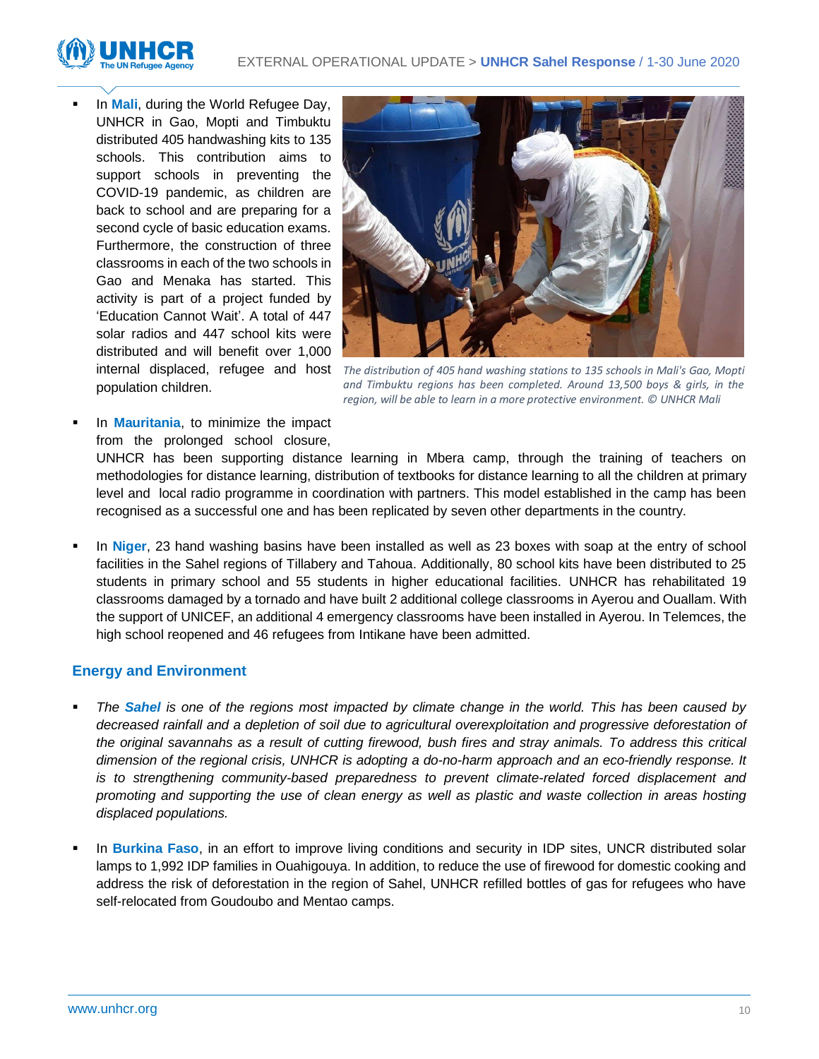

In **Mali**, during the World Refugee Day, UNHCR in Gao, Mopti and Timbuktu distributed 405 handwashing kits to 135 schools. This contribution aims to support schools in preventing the COVID-19 pandemic, as children are back to school and are preparing for a second cycle of basic education exams. Furthermore, the construction of three classrooms in each of the two schools in Gao and Menaka has started. This activity is part of a project funded by 'Education Cannot Wait'. A total of 447 solar radios and 447 school kits were distributed and will benefit over 1,000 population children.



internal displaced, refugee and host The distribution of 405 hand washing stations to 135 schools in Mali's Gao, Mopti *and Timbuktu regions has been completed. Around 13,500 boys & girls, in the region, will be able to learn in a more protective environment. © UNHCR Mali*

In **Mauritania**, to minimize the impact from the prolonged school closure,

UNHCR has been supporting distance learning in Mbera camp, through the training of teachers on methodologies for distance learning, distribution of textbooks for distance learning to all the children at primary level and local radio programme in coordination with partners. This model established in the camp has been recognised as a successful one and has been replicated by seven other departments in the country.

In **Niger**, 23 hand washing basins have been installed as well as 23 boxes with soap at the entry of school facilities in the Sahel regions of Tillabery and Tahoua. Additionally, 80 school kits have been distributed to 25 students in primary school and 55 students in higher educational facilities. UNHCR has rehabilitated 19 classrooms damaged by a tornado and have built 2 additional college classrooms in Ayerou and Ouallam. With the support of UNICEF, an additional 4 emergency classrooms have been installed in Ayerou. In Telemces, the high school reopened and 46 refugees from Intikane have been admitted.

#### **Energy and Environment**

- The **Sahel** is one of the regions most impacted by climate change in the world. This has been caused by *decreased rainfall and a depletion of soil due to agricultural overexploitation and progressive deforestation of the original savannahs as a result of cutting firewood, bush fires and stray animals. To address this critical dimension of the regional crisis, UNHCR is adopting a do-no-harm approach and an eco-friendly response. It is to strengthening community-based preparedness to prevent climate-related forced displacement and promoting and supporting the use of clean energy as well as plastic and waste collection in areas hosting displaced populations.*
- In **Burkina Faso**, in an effort to improve living conditions and security in IDP sites, UNCR distributed solar lamps to 1,992 IDP families in Ouahigouya. In addition, to reduce the use of firewood for domestic cooking and address the risk of deforestation in the region of Sahel, UNHCR refilled bottles of gas for refugees who have self-relocated from Goudoubo and Mentao camps.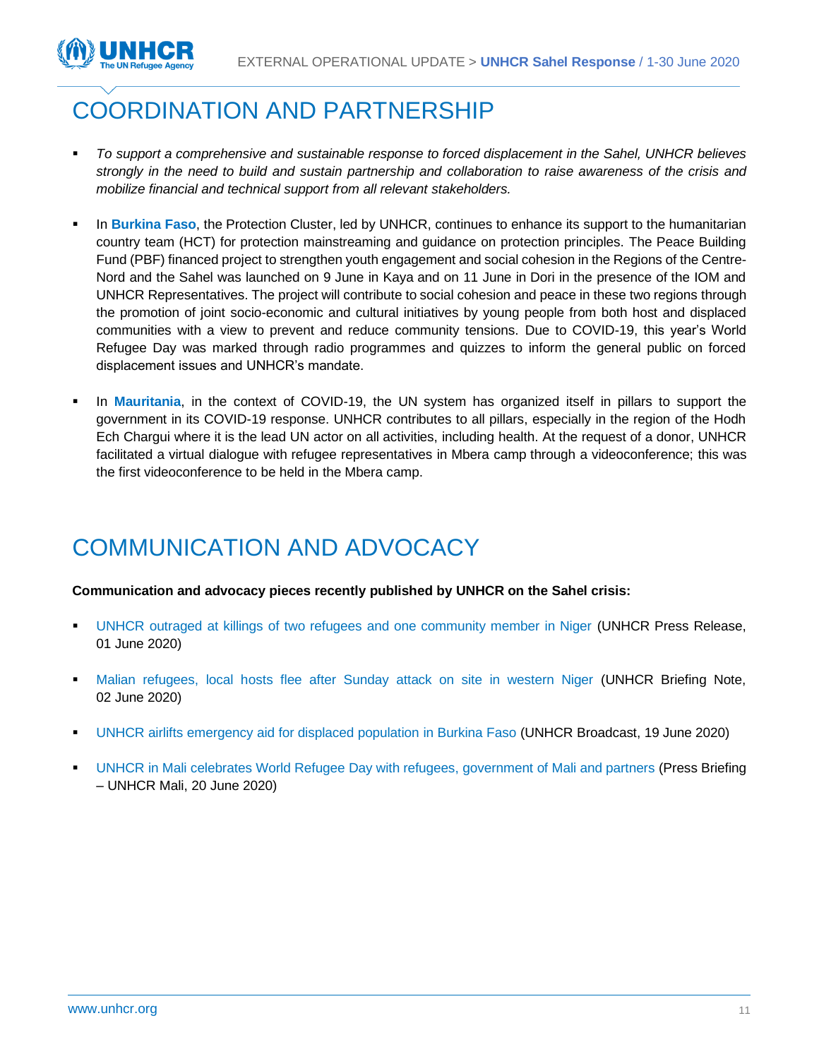

### COORDINATION AND PARTNERSHIP

- *To support a comprehensive and sustainable response to forced displacement in the Sahel, UNHCR believes strongly in the need to build and sustain partnership and collaboration to raise awareness of the crisis and mobilize financial and technical support from all relevant stakeholders.*
- **EXTED** In Burkina Faso, the Protection Cluster, led by UNHCR, continues to enhance its support to the humanitarian country team (HCT) for protection mainstreaming and guidance on protection principles. The Peace Building Fund (PBF) financed project to strengthen youth engagement and social cohesion in the Regions of the Centre-Nord and the Sahel was launched on 9 June in Kaya and on 11 June in Dori in the presence of the IOM and UNHCR Representatives. The project will contribute to social cohesion and peace in these two regions through the promotion of joint socio-economic and cultural initiatives by young people from both host and displaced communities with a view to prevent and reduce community tensions. Due to COVID-19, this year's World Refugee Day was marked through radio programmes and quizzes to inform the general public on forced displacement issues and UNHCR's mandate.
- In **Mauritania**, in the context of COVID-19, the UN system has organized itself in pillars to support the government in its COVID-19 response. UNHCR contributes to all pillars, especially in the region of the Hodh Ech Chargui where it is the lead UN actor on all activities, including health. At the request of a donor, UNHCR facilitated a virtual dialogue with refugee representatives in Mbera camp through a videoconference; this was the first videoconference to be held in the Mbera camp.

### COMMUNICATION AND ADVOCACY

**Communication and advocacy pieces recently published by UNHCR on the Sahel crisis:**

- [UNHCR outraged at killings of two refugees and one community member in Niger](https://www.unhcr.org/news/press/2020/6/5ed543054/unhcr-outraged-killings-refugees-community-member-niger.html) (UNHCR Press Release, 01 June 2020)
- **[Malian refugees, local hosts flee after Sunday attack on site in western Niger](https://www.unhcr.org/news/briefing/2020/6/5ed614b04/malian-refugees-local-hosts-flee-sunday-attack-site-western-niger.html) (UNHCR Briefing Note,** 02 June 2020)
- [UNHCR airlifts emergency aid for displaced population in Burkina Faso \(](https://www.unhcr.org/afr/news/press/2020/6/5eece1174/unhcr-airlifts-emergency-aid-for-displaced-population-in-burkina-faso.html)UNHCR Broadcast, 19 June 2020)
- [UNHCR in Mali celebrates World Refugee Day with refugees, government of Mali and partners](https://data2.unhcr.org/en/documents/download/77429) (Press Briefing – UNHCR Mali, 20 June 2020)